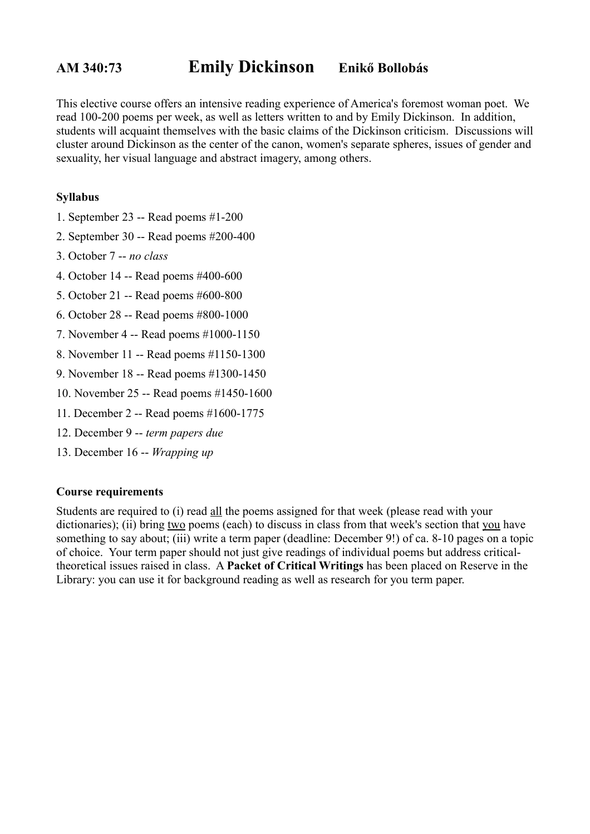## **AM 340:73 Emily Dickinson Enikő Bollobás**

This elective course offers an intensive reading experience of America's foremost woman poet. We read 100-200 poems per week, as well as letters written to and by Emily Dickinson. In addition, students will acquaint themselves with the basic claims of the Dickinson criticism. Discussions will cluster around Dickinson as the center of the canon, women's separate spheres, issues of gender and sexuality, her visual language and abstract imagery, among others.

## **Syllabus**

- 1. September 23 -- Read poems #1-200
- 2. September 30 -- Read poems #200-400
- 3. October 7 -- *no class*
- 4. October 14 -- Read poems #400-600
- 5. October 21 -- Read poems #600-800
- 6. October 28 -- Read poems #800-1000
- 7. November 4 -- Read poems #1000-1150
- 8. November 11 -- Read poems #1150-1300
- 9. November 18 -- Read poems #1300-1450
- 10. November 25 -- Read poems #1450-1600
- 11. December 2 -- Read poems #1600-1775
- 12. December 9 -- *term papers due*
- 13. December 16 -- *Wrapping up*

## **Course requirements**

Students are required to (i) read all the poems assigned for that week (please read with your dictionaries); (ii) bring two poems (each) to discuss in class from that week's section that you have something to say about; (iii) write a term paper (deadline: December 9!) of ca. 8-10 pages on a topic of choice. Your term paper should not just give readings of individual poems but address criticaltheoretical issues raised in class. A **Packet of Critical Writings** has been placed on Reserve in the Library: you can use it for background reading as well as research for you term paper.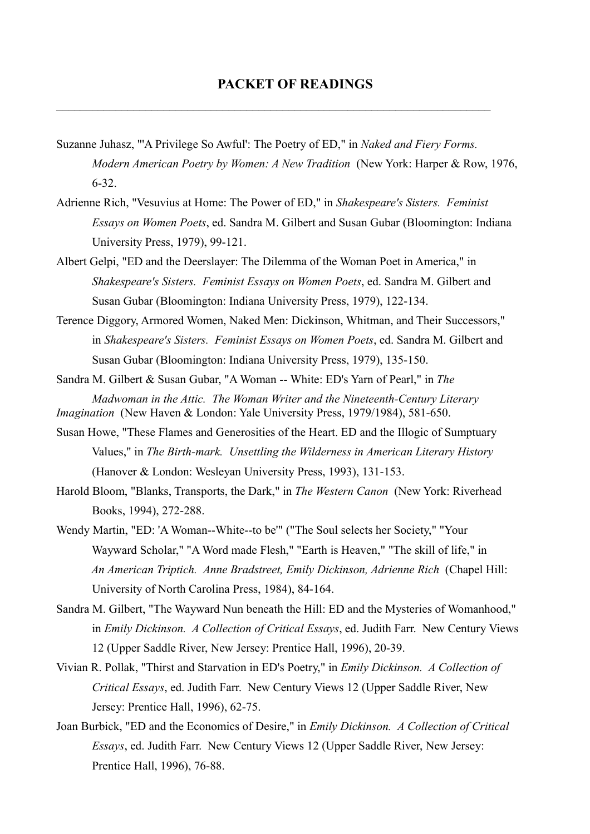$\mathcal{L}_\mathcal{L} = \mathcal{L}_\mathcal{L} = \mathcal{L}_\mathcal{L} = \mathcal{L}_\mathcal{L} = \mathcal{L}_\mathcal{L} = \mathcal{L}_\mathcal{L} = \mathcal{L}_\mathcal{L} = \mathcal{L}_\mathcal{L} = \mathcal{L}_\mathcal{L} = \mathcal{L}_\mathcal{L} = \mathcal{L}_\mathcal{L} = \mathcal{L}_\mathcal{L} = \mathcal{L}_\mathcal{L} = \mathcal{L}_\mathcal{L} = \mathcal{L}_\mathcal{L} = \mathcal{L}_\mathcal{L} = \mathcal{L}_\mathcal{L}$ 

- Suzanne Juhasz, "'A Privilege So Awful': The Poetry of ED," in *Naked and Fiery Forms. Modern American Poetry by Women: A New Tradition* (New York: Harper & Row, 1976, 6-32.
- Adrienne Rich, "Vesuvius at Home: The Power of ED," in *Shakespeare's Sisters. Feminist Essays on Women Poets*, ed. Sandra M. Gilbert and Susan Gubar (Bloomington: Indiana University Press, 1979), 99-121.
- Albert Gelpi, "ED and the Deerslayer: The Dilemma of the Woman Poet in America," in *Shakespeare's Sisters. Feminist Essays on Women Poets*, ed. Sandra M. Gilbert and Susan Gubar (Bloomington: Indiana University Press, 1979), 122-134.
- Terence Diggory, Armored Women, Naked Men: Dickinson, Whitman, and Their Successors," in *Shakespeare's Sisters. Feminist Essays on Women Poets*, ed. Sandra M. Gilbert and Susan Gubar (Bloomington: Indiana University Press, 1979), 135-150.
- Sandra M. Gilbert & Susan Gubar, "A Woman -- White: ED's Yarn of Pearl," in *The Madwoman in the Attic. The Woman Writer and the Nineteenth-Century Literary Imagination* (New Haven & London: Yale University Press, 1979/1984), 581-650.
- Susan Howe, "These Flames and Generosities of the Heart. ED and the Illogic of Sumptuary Values," in *The Birth-mark. Unsettling the Wilderness in American Literary History* (Hanover & London: Wesleyan University Press, 1993), 131-153.
- Harold Bloom, "Blanks, Transports, the Dark," in *The Western Canon* (New York: Riverhead Books, 1994), 272-288.
- Wendy Martin, "ED: 'A Woman--White--to be'" ("The Soul selects her Society," "Your Wayward Scholar," "A Word made Flesh," "Earth is Heaven," "The skill of life," in *An American Triptich. Anne Bradstreet, Emily Dickinson, Adrienne Rich* (Chapel Hill: University of North Carolina Press, 1984), 84-164.
- Sandra M. Gilbert, "The Wayward Nun beneath the Hill: ED and the Mysteries of Womanhood," in *Emily Dickinson. A Collection of Critical Essays*, ed. Judith Farr. New Century Views 12 (Upper Saddle River, New Jersey: Prentice Hall, 1996), 20-39.
- Vivian R. Pollak, "Thirst and Starvation in ED's Poetry," in *Emily Dickinson. A Collection of Critical Essays*, ed. Judith Farr. New Century Views 12 (Upper Saddle River, New Jersey: Prentice Hall, 1996), 62-75.
- Joan Burbick, "ED and the Economics of Desire," in *Emily Dickinson. A Collection of Critical Essays*, ed. Judith Farr. New Century Views 12 (Upper Saddle River, New Jersey: Prentice Hall, 1996), 76-88.